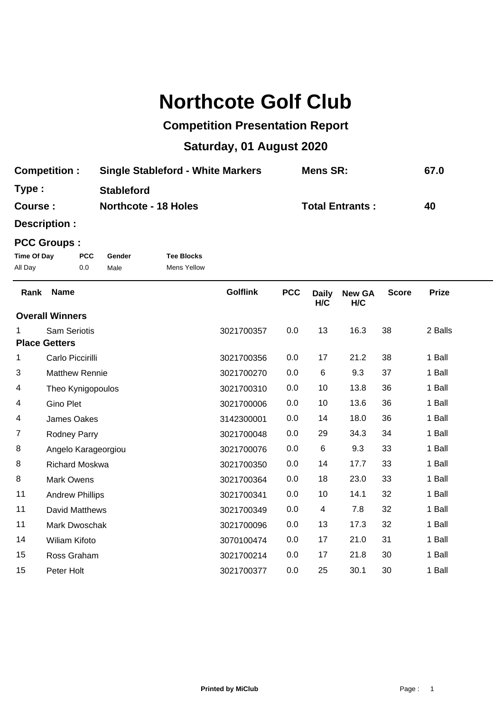# **Northcote Golf Club**

## **Competition Presentation Report**

# **Saturday, 01 August 2020**

| <b>Competition:</b> | <b>Single Stableford - White Markers</b> | <b>Mens SR:</b>        | 67.0 |
|---------------------|------------------------------------------|------------------------|------|
| Type :              | <b>Stableford</b>                        |                        |      |
| <b>Course :</b>     | <b>Northcote - 18 Holes</b>              | <b>Total Entrants:</b> | 40   |

**Description :**

### **PCC Groups :**

| Time Of Day | <b>PCC</b> | Gender | <b>Tee Blocks</b> |
|-------------|------------|--------|-------------------|
| All Day     | 0.0        | Male   | Mens Yellow       |

| Rank                   | <b>Name</b>            | <b>Golflink</b> | <b>PCC</b> | <b>Daily</b><br>H/C | <b>New GA</b><br>H/C | <b>Score</b> | <b>Prize</b> |
|------------------------|------------------------|-----------------|------------|---------------------|----------------------|--------------|--------------|
| <b>Overall Winners</b> |                        |                 |            |                     |                      |              |              |
|                        | <b>Sam Seriotis</b>    | 3021700357      | 0.0        | 13                  | 16.3                 | 38           | 2 Balls      |
|                        | <b>Place Getters</b>   |                 |            |                     |                      |              |              |
| 1                      | Carlo Piccirilli       | 3021700356      | 0.0        | 17                  | 21.2                 | 38           | 1 Ball       |
| 3                      | <b>Matthew Rennie</b>  | 3021700270      | 0.0        | 6                   | 9.3                  | 37           | 1 Ball       |
| 4                      | Theo Kynigopoulos      | 3021700310      | 0.0        | 10                  | 13.8                 | 36           | 1 Ball       |
| 4                      | <b>Gino Plet</b>       | 3021700006      | 0.0        | 10                  | 13.6                 | 36           | 1 Ball       |
| 4                      | James Oakes            | 3142300001      | 0.0        | 14                  | 18.0                 | 36           | 1 Ball       |
| 7                      | Rodney Parry           | 3021700048      | 0.0        | 29                  | 34.3                 | 34           | 1 Ball       |
| 8                      | Angelo Karageorgiou    | 3021700076      | 0.0        | 6                   | 9.3                  | 33           | 1 Ball       |
| 8                      | <b>Richard Moskwa</b>  | 3021700350      | 0.0        | 14                  | 17.7                 | 33           | 1 Ball       |
| 8                      | <b>Mark Owens</b>      | 3021700364      | 0.0        | 18                  | 23.0                 | 33           | 1 Ball       |
| 11                     | <b>Andrew Phillips</b> | 3021700341      | 0.0        | 10                  | 14.1                 | 32           | 1 Ball       |
| 11                     | David Matthews         | 3021700349      | 0.0        | 4                   | 7.8                  | 32           | 1 Ball       |
| 11                     | <b>Mark Dwoschak</b>   | 3021700096      | 0.0        | 13                  | 17.3                 | 32           | 1 Ball       |
| 14                     | <b>Wiliam Kifoto</b>   | 3070100474      | 0.0        | 17                  | 21.0                 | 31           | 1 Ball       |
| 15                     | Ross Graham            | 3021700214      | 0.0        | 17                  | 21.8                 | 30           | 1 Ball       |
| 15                     | Peter Holt             | 3021700377      | 0.0        | 25                  | 30.1                 | 30           | 1 Ball       |